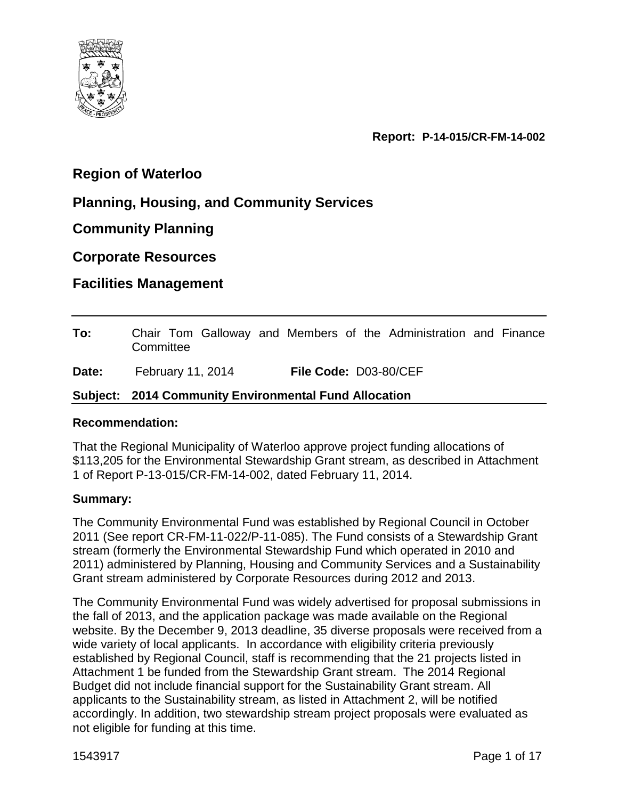

**Report: P-14-015/CR-FM-14-002**

# **Region of Waterloo**

# **Planning, Housing, and Community Services**

**Community Planning** 

**Corporate Resources**

**Facilities Management**

| To:   | Chair Tom Galloway and Members of the Administration and Finance<br>Committee |                       |  |  |  |
|-------|-------------------------------------------------------------------------------|-----------------------|--|--|--|
| Date: | February 11, 2014                                                             | File Code: D03-80/CEF |  |  |  |

#### **Subject: 2014 Community Environmental Fund Allocation**

#### **Recommendation:**

That the Regional Municipality of Waterloo approve project funding allocations of \$113,205 for the Environmental Stewardship Grant stream, as described in Attachment 1 of Report P-13-015/CR-FM-14-002, dated February 11, 2014.

# **Summary:**

The Community Environmental Fund was established by Regional Council in October 2011 (See report CR-FM-11-022/P-11-085). The Fund consists of a Stewardship Grant stream (formerly the Environmental Stewardship Fund which operated in 2010 and 2011) administered by Planning, Housing and Community Services and a Sustainability Grant stream administered by Corporate Resources during 2012 and 2013.

The Community Environmental Fund was widely advertised for proposal submissions in the fall of 2013, and the application package was made available on the Regional website. By the December 9, 2013 deadline, 35 diverse proposals were received from a wide variety of local applicants. In accordance with eligibility criteria previously established by Regional Council, staff is recommending that the 21 projects listed in Attachment 1 be funded from the Stewardship Grant stream. The 2014 Regional Budget did not include financial support for the Sustainability Grant stream. All applicants to the Sustainability stream, as listed in Attachment 2, will be notified accordingly. In addition, two stewardship stream project proposals were evaluated as not eligible for funding at this time.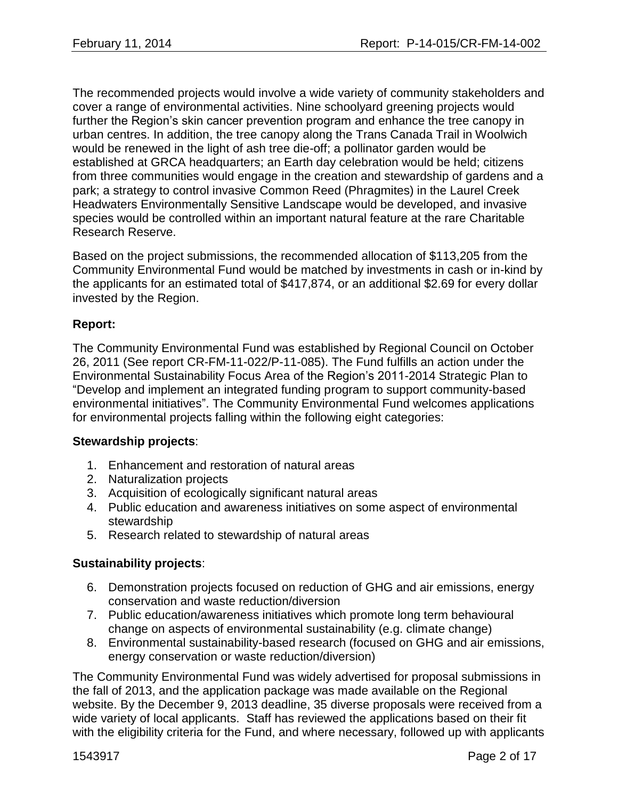The recommended projects would involve a wide variety of community stakeholders and cover a range of environmental activities. Nine schoolyard greening projects would further the Region's skin cancer prevention program and enhance the tree canopy in urban centres. In addition, the tree canopy along the Trans Canada Trail in Woolwich would be renewed in the light of ash tree die-off; a pollinator garden would be established at GRCA headquarters; an Earth day celebration would be held; citizens from three communities would engage in the creation and stewardship of gardens and a park; a strategy to control invasive Common Reed (Phragmites) in the Laurel Creek Headwaters Environmentally Sensitive Landscape would be developed, and invasive species would be controlled within an important natural feature at the rare Charitable Research Reserve.

Based on the project submissions, the recommended allocation of \$113,205 from the Community Environmental Fund would be matched by investments in cash or in-kind by the applicants for an estimated total of \$417,874, or an additional \$2.69 for every dollar invested by the Region.

### **Report:**

The Community Environmental Fund was established by Regional Council on October 26, 2011 (See report CR-FM-11-022/P-11-085). The Fund fulfills an action under the Environmental Sustainability Focus Area of the Region's 2011-2014 Strategic Plan to "Develop and implement an integrated funding program to support community-based environmental initiatives". The Community Environmental Fund welcomes applications for environmental projects falling within the following eight categories:

#### **Stewardship projects**:

- 1. Enhancement and restoration of natural areas
- 2. Naturalization projects
- 3. Acquisition of ecologically significant natural areas
- 4. Public education and awareness initiatives on some aspect of environmental stewardship
- 5. Research related to stewardship of natural areas

#### **Sustainability projects**:

- 6. Demonstration projects focused on reduction of GHG and air emissions, energy conservation and waste reduction/diversion
- 7. Public education/awareness initiatives which promote long term behavioural change on aspects of environmental sustainability (e.g. climate change)
- 8. Environmental sustainability-based research (focused on GHG and air emissions, energy conservation or waste reduction/diversion)

The Community Environmental Fund was widely advertised for proposal submissions in the fall of 2013, and the application package was made available on the Regional website. By the December 9, 2013 deadline, 35 diverse proposals were received from a wide variety of local applicants. Staff has reviewed the applications based on their fit with the eligibility criteria for the Fund, and where necessary, followed up with applicants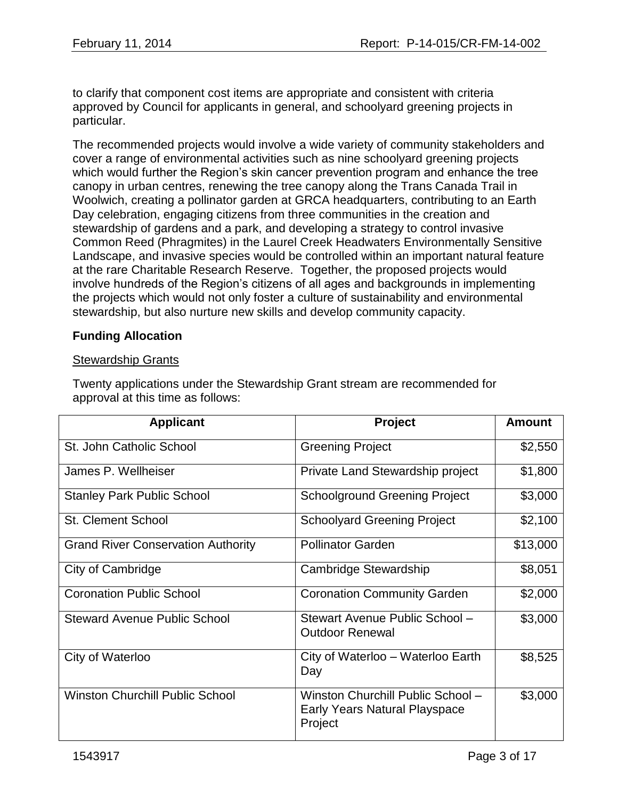to clarify that component cost items are appropriate and consistent with criteria approved by Council for applicants in general, and schoolyard greening projects in particular.

The recommended projects would involve a wide variety of community stakeholders and cover a range of environmental activities such as nine schoolyard greening projects which would further the Region's skin cancer prevention program and enhance the tree canopy in urban centres, renewing the tree canopy along the Trans Canada Trail in Woolwich, creating a pollinator garden at GRCA headquarters, contributing to an Earth Day celebration, engaging citizens from three communities in the creation and stewardship of gardens and a park, and developing a strategy to control invasive Common Reed (Phragmites) in the Laurel Creek Headwaters Environmentally Sensitive Landscape, and invasive species would be controlled within an important natural feature at the rare Charitable Research Reserve. Together, the proposed projects would involve hundreds of the Region's citizens of all ages and backgrounds in implementing the projects which would not only foster a culture of sustainability and environmental stewardship, but also nurture new skills and develop community capacity.

### **Funding Allocation**

#### Stewardship Grants

Twenty applications under the Stewardship Grant stream are recommended for approval at this time as follows:

| <b>Applicant</b>                          | Project                                                                       | <b>Amount</b> |
|-------------------------------------------|-------------------------------------------------------------------------------|---------------|
| St. John Catholic School                  | <b>Greening Project</b>                                                       | \$2,550       |
| James P. Wellheiser                       | Private Land Stewardship project                                              | \$1,800       |
| <b>Stanley Park Public School</b>         | <b>Schoolground Greening Project</b>                                          | \$3,000       |
| <b>St. Clement School</b>                 | <b>Schoolyard Greening Project</b>                                            | \$2,100       |
| <b>Grand River Conservation Authority</b> | <b>Pollinator Garden</b>                                                      | \$13,000      |
| City of Cambridge                         | Cambridge Stewardship                                                         | \$8,051       |
| <b>Coronation Public School</b>           | <b>Coronation Community Garden</b>                                            | \$2,000       |
| <b>Steward Avenue Public School</b>       | Stewart Avenue Public School -<br><b>Outdoor Renewal</b>                      | \$3,000       |
| City of Waterloo                          | City of Waterloo - Waterloo Earth<br>Day                                      | \$8,525       |
| <b>Winston Churchill Public School</b>    | Winston Churchill Public School -<br>Early Years Natural Playspace<br>Project | \$3,000       |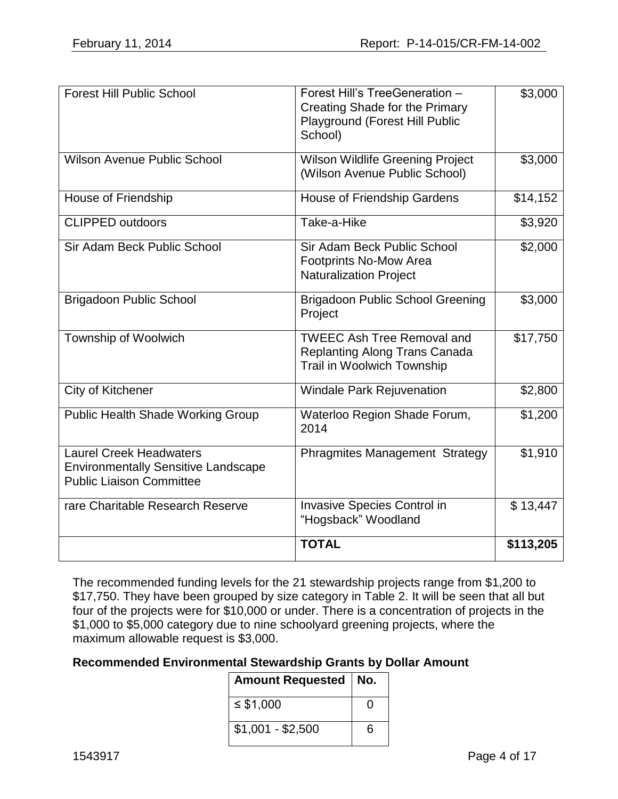| <b>Forest Hill Public School</b>                                                                                | Forest Hill's TreeGeneration -<br><b>Creating Shade for the Primary</b><br>Playground (Forest Hill Public<br>School) | \$3,000   |
|-----------------------------------------------------------------------------------------------------------------|----------------------------------------------------------------------------------------------------------------------|-----------|
| <b>Wilson Avenue Public School</b>                                                                              | <b>Wilson Wildlife Greening Project</b><br>(Wilson Avenue Public School)                                             | \$3,000   |
| House of Friendship                                                                                             | House of Friendship Gardens                                                                                          | \$14,152  |
| <b>CLIPPED outdoors</b>                                                                                         | Take-a-Hike                                                                                                          | \$3,920   |
| Sir Adam Beck Public School                                                                                     | Sir Adam Beck Public School<br>Footprints No-Mow Area<br><b>Naturalization Project</b>                               | \$2,000   |
| <b>Brigadoon Public School</b>                                                                                  | <b>Brigadoon Public School Greening</b><br>Project                                                                   | \$3,000   |
| Township of Woolwich                                                                                            | <b>TWEEC Ash Tree Removal and</b><br><b>Replanting Along Trans Canada</b><br>Trail in Woolwich Township              | \$17,750  |
| City of Kitchener                                                                                               | <b>Windale Park Rejuvenation</b>                                                                                     | \$2,800   |
| <b>Public Health Shade Working Group</b>                                                                        | Waterloo Region Shade Forum,<br>2014                                                                                 | \$1,200   |
| <b>Laurel Creek Headwaters</b><br><b>Environmentally Sensitive Landscape</b><br><b>Public Liaison Committee</b> | <b>Phragmites Management Strategy</b>                                                                                | \$1,910   |
| rare Charitable Research Reserve                                                                                | <b>Invasive Species Control in</b><br>"Hogsback" Woodland                                                            | \$13,447  |
|                                                                                                                 | <b>TOTAL</b>                                                                                                         | \$113,205 |

The recommended funding levels for the 21 stewardship projects range from \$1,200 to \$17,750. They have been grouped by size category in Table 2. It will be seen that all but four of the projects were for \$10,000 or under. There is a concentration of projects in the \$1,000 to \$5,000 category due to nine schoolyard greening projects, where the maximum allowable request is \$3,000.

#### **Recommended Environmental Stewardship Grants by Dollar Amount**

| Amount Requested   No. |                   |
|------------------------|-------------------|
| ≤ \$1,000              | $\mathbf{\Omega}$ |
| $$1,001 - $2,500$      | ิค                |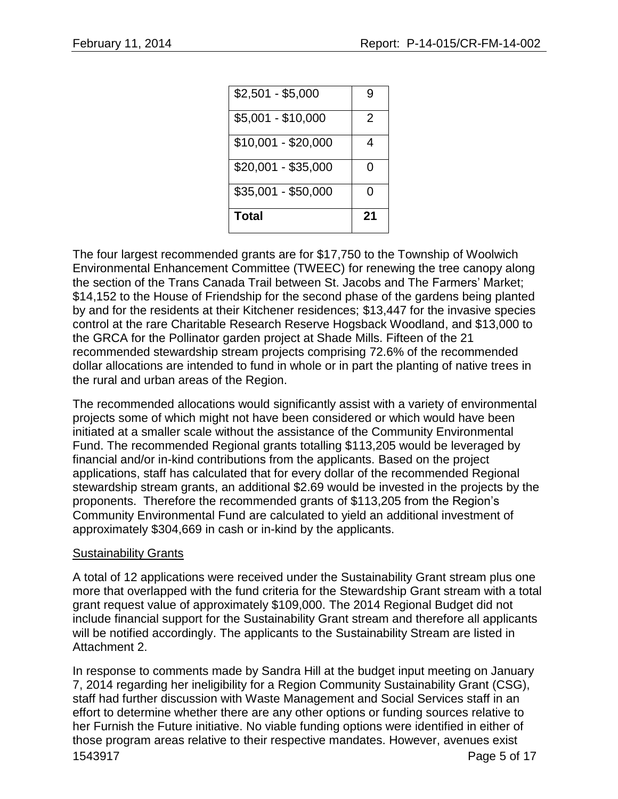| $$35,001 - $50,000$<br>Total | U<br>21 |
|------------------------------|---------|
| \$20,001 - \$35,000          | O       |
| $$10,001 - $20,000$          | 4       |
| $$5,001 - $10,000$           | 2       |
| $$2,501 - $5,000$            | g       |

The four largest recommended grants are for \$17,750 to the Township of Woolwich Environmental Enhancement Committee (TWEEC) for renewing the tree canopy along the section of the Trans Canada Trail between St. Jacobs and The Farmers' Market; \$14,152 to the House of Friendship for the second phase of the gardens being planted by and for the residents at their Kitchener residences; \$13,447 for the invasive species control at the rare Charitable Research Reserve Hogsback Woodland, and \$13,000 to the GRCA for the Pollinator garden project at Shade Mills. Fifteen of the 21 recommended stewardship stream projects comprising 72.6% of the recommended dollar allocations are intended to fund in whole or in part the planting of native trees in the rural and urban areas of the Region.

The recommended allocations would significantly assist with a variety of environmental projects some of which might not have been considered or which would have been initiated at a smaller scale without the assistance of the Community Environmental Fund. The recommended Regional grants totalling \$113,205 would be leveraged by financial and/or in-kind contributions from the applicants. Based on the project applications, staff has calculated that for every dollar of the recommended Regional stewardship stream grants, an additional \$2.69 would be invested in the projects by the proponents. Therefore the recommended grants of \$113,205 from the Region's Community Environmental Fund are calculated to yield an additional investment of approximately \$304,669 in cash or in-kind by the applicants.

#### Sustainability Grants

A total of 12 applications were received under the Sustainability Grant stream plus one more that overlapped with the fund criteria for the Stewardship Grant stream with a total grant request value of approximately \$109,000. The 2014 Regional Budget did not include financial support for the Sustainability Grant stream and therefore all applicants will be notified accordingly. The applicants to the Sustainability Stream are listed in Attachment 2.

1543917 Page 5 of 17 In response to comments made by Sandra Hill at the budget input meeting on January 7, 2014 regarding her ineligibility for a Region Community Sustainability Grant (CSG), staff had further discussion with Waste Management and Social Services staff in an effort to determine whether there are any other options or funding sources relative to her Furnish the Future initiative. No viable funding options were identified in either of those program areas relative to their respective mandates. However, avenues exist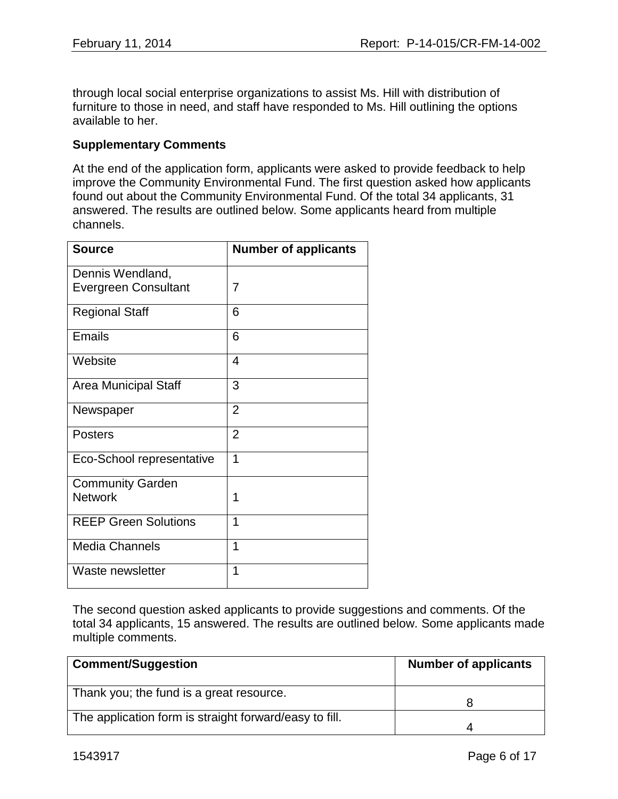through local social enterprise organizations to assist Ms. Hill with distribution of furniture to those in need, and staff have responded to Ms. Hill outlining the options available to her.

#### **Supplementary Comments**

At the end of the application form, applicants were asked to provide feedback to help improve the Community Environmental Fund. The first question asked how applicants found out about the Community Environmental Fund. Of the total 34 applicants, 31 answered. The results are outlined below. Some applicants heard from multiple channels.

| <b>Source</b>               | <b>Number of applicants</b> |
|-----------------------------|-----------------------------|
| Dennis Wendland,            |                             |
| <b>Evergreen Consultant</b> | 7                           |
| <b>Regional Staff</b>       | 6                           |
| <b>Emails</b>               | 6                           |
| Website                     | $\overline{4}$              |
| Area Municipal Staff        | 3                           |
| Newspaper                   | $\overline{2}$              |
| Posters                     | $\overline{2}$              |
| Eco-School representative   | 1                           |
| <b>Community Garden</b>     |                             |
| <b>Network</b>              | 1                           |
| <b>REEP Green Solutions</b> | 1                           |
| <b>Media Channels</b>       | 1                           |
| Waste newsletter            | 1                           |

The second question asked applicants to provide suggestions and comments. Of the total 34 applicants, 15 answered. The results are outlined below. Some applicants made multiple comments.

| <b>Comment/Suggestion</b>                              | <b>Number of applicants</b> |
|--------------------------------------------------------|-----------------------------|
| Thank you; the fund is a great resource.               |                             |
| The application form is straight forward/easy to fill. |                             |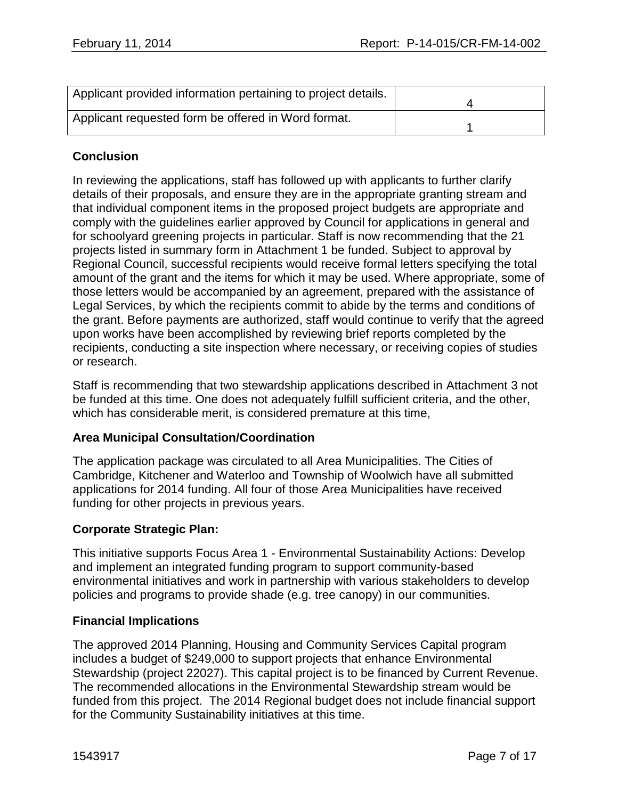| Applicant provided information pertaining to project details. |  |
|---------------------------------------------------------------|--|
| Applicant requested form be offered in Word format.           |  |

# **Conclusion**

In reviewing the applications, staff has followed up with applicants to further clarify details of their proposals, and ensure they are in the appropriate granting stream and that individual component items in the proposed project budgets are appropriate and comply with the guidelines earlier approved by Council for applications in general and for schoolyard greening projects in particular. Staff is now recommending that the 21 projects listed in summary form in Attachment 1 be funded. Subject to approval by Regional Council, successful recipients would receive formal letters specifying the total amount of the grant and the items for which it may be used. Where appropriate, some of those letters would be accompanied by an agreement, prepared with the assistance of Legal Services, by which the recipients commit to abide by the terms and conditions of the grant. Before payments are authorized, staff would continue to verify that the agreed upon works have been accomplished by reviewing brief reports completed by the recipients, conducting a site inspection where necessary, or receiving copies of studies or research.

Staff is recommending that two stewardship applications described in Attachment 3 not be funded at this time. One does not adequately fulfill sufficient criteria, and the other, which has considerable merit, is considered premature at this time,

# **Area Municipal Consultation/Coordination**

The application package was circulated to all Area Municipalities. The Cities of Cambridge, Kitchener and Waterloo and Township of Woolwich have all submitted applications for 2014 funding. All four of those Area Municipalities have received funding for other projects in previous years.

# **Corporate Strategic Plan:**

This initiative supports Focus Area 1 - Environmental Sustainability Actions: Develop and implement an integrated funding program to support community-based environmental initiatives and work in partnership with various stakeholders to develop policies and programs to provide shade (e.g. tree canopy) in our communities*.*

#### **Financial Implications**

The approved 2014 Planning, Housing and Community Services Capital program includes a budget of \$249,000 to support projects that enhance Environmental Stewardship (project 22027). This capital project is to be financed by Current Revenue. The recommended allocations in the Environmental Stewardship stream would be funded from this project. The 2014 Regional budget does not include financial support for the Community Sustainability initiatives at this time.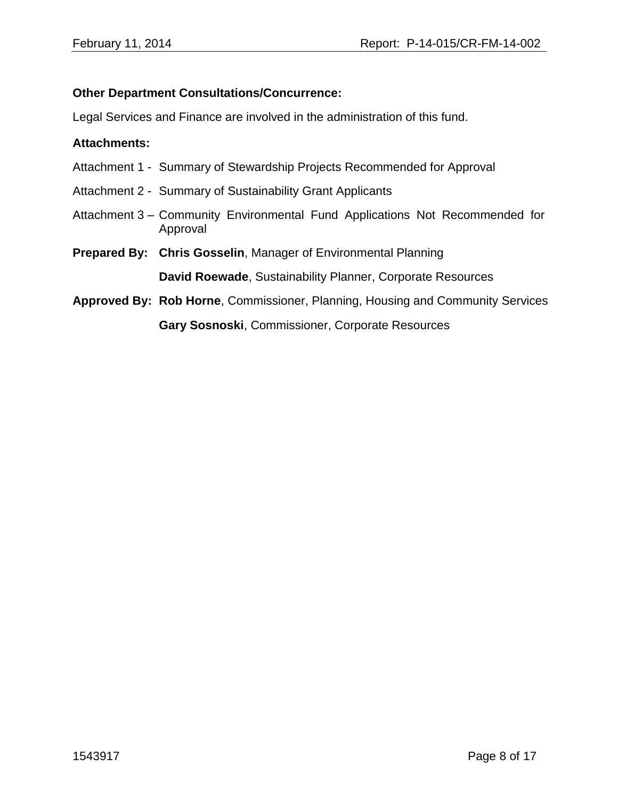#### **Other Department Consultations/Concurrence:**

Legal Services and Finance are involved in the administration of this fund.

#### **Attachments:**

- Attachment 1 Summary of Stewardship Projects Recommended for Approval
- Attachment 2 Summary of Sustainability Grant Applicants
- Attachment 3 Community Environmental Fund Applications Not Recommended for Approval
- **Prepared By: Chris Gosselin**, Manager of Environmental Planning **David Roewade**, Sustainability Planner, Corporate Resources
- **Approved By: Rob Horne**, Commissioner, Planning, Housing and Community Services **Gary Sosnoski**, Commissioner, Corporate Resources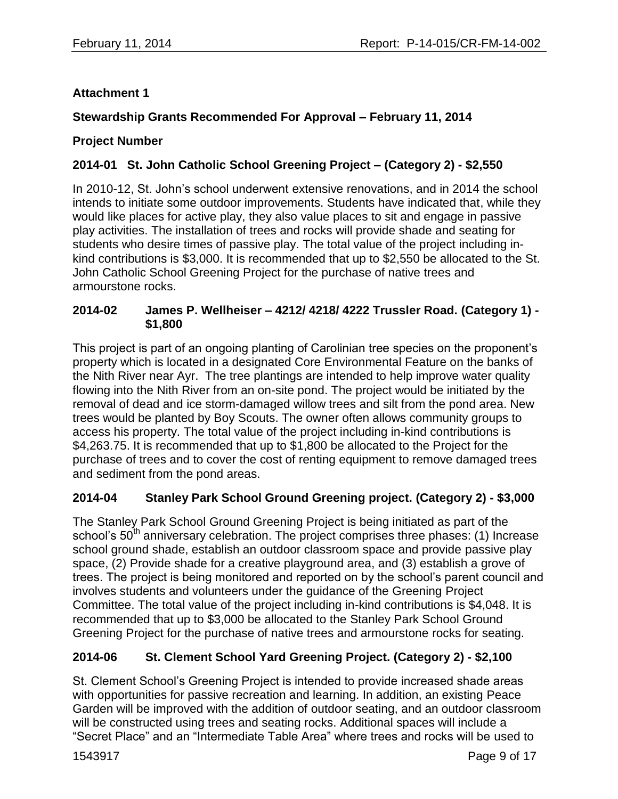### **Attachment 1**

### **Stewardship Grants Recommended For Approval – February 11, 2014**

#### **Project Number**

## **2014-01 St. John Catholic School Greening Project – (Category 2) - \$2,550**

In 2010-12, St. John's school underwent extensive renovations, and in 2014 the school intends to initiate some outdoor improvements. Students have indicated that, while they would like places for active play, they also value places to sit and engage in passive play activities. The installation of trees and rocks will provide shade and seating for students who desire times of passive play. The total value of the project including inkind contributions is \$3,000. It is recommended that up to \$2,550 be allocated to the St. John Catholic School Greening Project for the purchase of native trees and armourstone rocks.

### **2014-02 James P. Wellheiser – 4212/ 4218/ 4222 Trussler Road. (Category 1) - \$1,800**

This project is part of an ongoing planting of Carolinian tree species on the proponent's property which is located in a designated Core Environmental Feature on the banks of the Nith River near Ayr. The tree plantings are intended to help improve water quality flowing into the Nith River from an on-site pond. The project would be initiated by the removal of dead and ice storm-damaged willow trees and silt from the pond area. New trees would be planted by Boy Scouts. The owner often allows community groups to access his property. The total value of the project including in-kind contributions is \$4,263.75. It is recommended that up to \$1,800 be allocated to the Project for the purchase of trees and to cover the cost of renting equipment to remove damaged trees and sediment from the pond areas.

#### **2014-04 Stanley Park School Ground Greening project. (Category 2) - \$3,000**

The Stanley Park School Ground Greening Project is being initiated as part of the school's 50<sup>th</sup> anniversary celebration. The project comprises three phases: (1) Increase school ground shade, establish an outdoor classroom space and provide passive play space, (2) Provide shade for a creative playground area, and (3) establish a grove of trees. The project is being monitored and reported on by the school's parent council and involves students and volunteers under the guidance of the Greening Project Committee. The total value of the project including in-kind contributions is \$4,048. It is recommended that up to \$3,000 be allocated to the Stanley Park School Ground Greening Project for the purchase of native trees and armourstone rocks for seating.

# **2014-06 St. Clement School Yard Greening Project. (Category 2) - \$2,100**

St. Clement School's Greening Project is intended to provide increased shade areas with opportunities for passive recreation and learning. In addition, an existing Peace Garden will be improved with the addition of outdoor seating, and an outdoor classroom will be constructed using trees and seating rocks. Additional spaces will include a "Secret Place" and an "Intermediate Table Area" where trees and rocks will be used to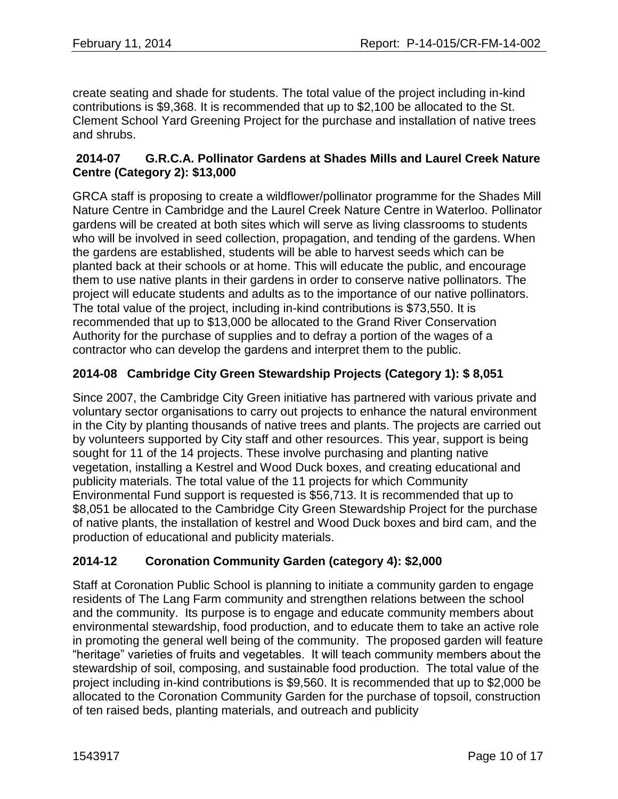create seating and shade for students. The total value of the project including in-kind contributions is \$9,368. It is recommended that up to \$2,100 be allocated to the St. Clement School Yard Greening Project for the purchase and installation of native trees and shrubs.

## **2014-07 G.R.C.A. Pollinator Gardens at Shades Mills and Laurel Creek Nature Centre (Category 2): \$13,000**

GRCA staff is proposing to create a wildflower/pollinator programme for the Shades Mill Nature Centre in Cambridge and the Laurel Creek Nature Centre in Waterloo. Pollinator gardens will be created at both sites which will serve as living classrooms to students who will be involved in seed collection, propagation, and tending of the gardens. When the gardens are established, students will be able to harvest seeds which can be planted back at their schools or at home. This will educate the public, and encourage them to use native plants in their gardens in order to conserve native pollinators. The project will educate students and adults as to the importance of our native pollinators. The total value of the project, including in-kind contributions is \$73,550. It is recommended that up to \$13,000 be allocated to the Grand River Conservation Authority for the purchase of supplies and to defray a portion of the wages of a contractor who can develop the gardens and interpret them to the public.

# **2014-08 Cambridge City Green Stewardship Projects (Category 1): \$ 8,051**

Since 2007, the Cambridge City Green initiative has partnered with various private and voluntary sector organisations to carry out projects to enhance the natural environment in the City by planting thousands of native trees and plants. The projects are carried out by volunteers supported by City staff and other resources. This year, support is being sought for 11 of the 14 projects. These involve purchasing and planting native vegetation, installing a Kestrel and Wood Duck boxes, and creating educational and publicity materials. The total value of the 11 projects for which Community Environmental Fund support is requested is \$56,713. It is recommended that up to \$8,051 be allocated to the Cambridge City Green Stewardship Project for the purchase of native plants, the installation of kestrel and Wood Duck boxes and bird cam, and the production of educational and publicity materials.

# **2014-12 Coronation Community Garden (category 4): \$2,000**

Staff at Coronation Public School is planning to initiate a community garden to engage residents of The Lang Farm community and strengthen relations between the school and the community. Its purpose is to engage and educate community members about environmental stewardship, food production, and to educate them to take an active role in promoting the general well being of the community. The proposed garden will feature "heritage" varieties of fruits and vegetables. It will teach community members about the stewardship of soil, composing, and sustainable food production. The total value of the project including in-kind contributions is \$9,560. It is recommended that up to \$2,000 be allocated to the Coronation Community Garden for the purchase of topsoil, construction of ten raised beds, planting materials, and outreach and publicity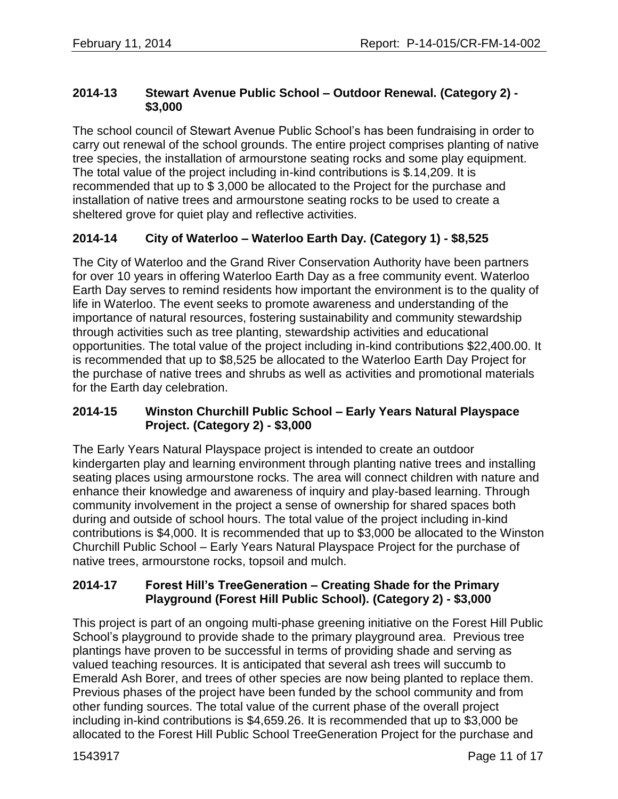## **2014-13 Stewart Avenue Public School – Outdoor Renewal. (Category 2) - \$3,000**

The school council of Stewart Avenue Public School's has been fundraising in order to carry out renewal of the school grounds. The entire project comprises planting of native tree species, the installation of armourstone seating rocks and some play equipment. The total value of the project including in-kind contributions is \$.14,209. It is recommended that up to \$ 3,000 be allocated to the Project for the purchase and installation of native trees and armourstone seating rocks to be used to create a sheltered grove for quiet play and reflective activities.

# **2014-14 City of Waterloo – Waterloo Earth Day. (Category 1) - \$8,525**

The City of Waterloo and the Grand River Conservation Authority have been partners for over 10 years in offering Waterloo Earth Day as a free community event. Waterloo Earth Day serves to remind residents how important the environment is to the quality of life in Waterloo. The event seeks to promote awareness and understanding of the importance of natural resources, fostering sustainability and community stewardship through activities such as tree planting, stewardship activities and educational opportunities. The total value of the project including in-kind contributions \$22,400.00. It is recommended that up to \$8,525 be allocated to the Waterloo Earth Day Project for the purchase of native trees and shrubs as well as activities and promotional materials for the Earth day celebration.

### **2014-15 Winston Churchill Public School – Early Years Natural Playspace Project. (Category 2) - \$3,000**

The Early Years Natural Playspace project is intended to create an outdoor kindergarten play and learning environment through planting native trees and installing seating places using armourstone rocks. The area will connect children with nature and enhance their knowledge and awareness of inquiry and play-based learning. Through community involvement in the project a sense of ownership for shared spaces both during and outside of school hours. The total value of the project including in-kind contributions is \$4,000. It is recommended that up to \$3,000 be allocated to the Winston Churchill Public School – Early Years Natural Playspace Project for the purchase of native trees, armourstone rocks, topsoil and mulch.

### **2014-17 Forest Hill's TreeGeneration – Creating Shade for the Primary Playground (Forest Hill Public School). (Category 2) - \$3,000**

This project is part of an ongoing multi-phase greening initiative on the Forest Hill Public School's playground to provide shade to the primary playground area. Previous tree plantings have proven to be successful in terms of providing shade and serving as valued teaching resources. It is anticipated that several ash trees will succumb to Emerald Ash Borer, and trees of other species are now being planted to replace them. Previous phases of the project have been funded by the school community and from other funding sources. The total value of the current phase of the overall project including in-kind contributions is \$4,659.26. It is recommended that up to \$3,000 be allocated to the Forest Hill Public School TreeGeneration Project for the purchase and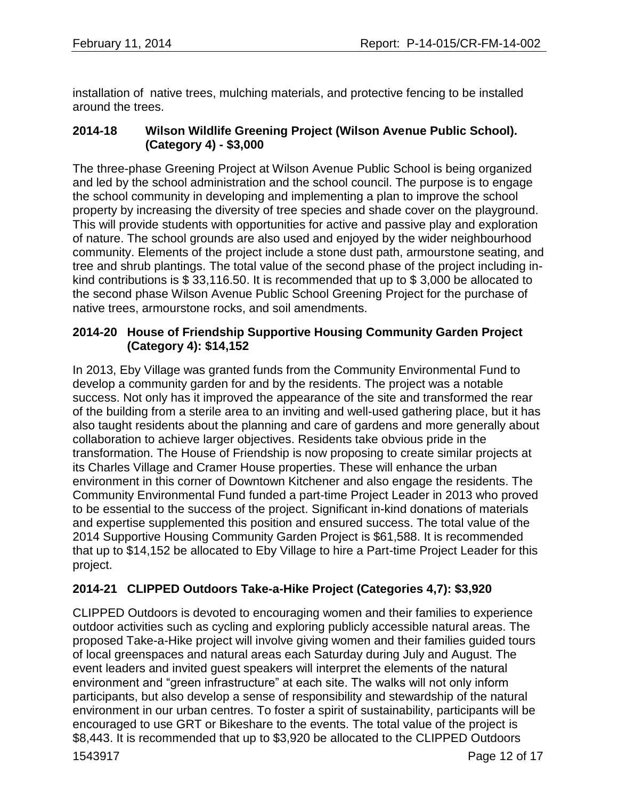installation of native trees, mulching materials, and protective fencing to be installed around the trees.

# **2014-18 Wilson Wildlife Greening Project (Wilson Avenue Public School). (Category 4) - \$3,000**

The three-phase Greening Project at Wilson Avenue Public School is being organized and led by the school administration and the school council. The purpose is to engage the school community in developing and implementing a plan to improve the school property by increasing the diversity of tree species and shade cover on the playground. This will provide students with opportunities for active and passive play and exploration of nature. The school grounds are also used and enjoyed by the wider neighbourhood community. Elements of the project include a stone dust path, armourstone seating, and tree and shrub plantings. The total value of the second phase of the project including inkind contributions is \$ 33,116.50. It is recommended that up to \$ 3,000 be allocated to the second phase Wilson Avenue Public School Greening Project for the purchase of native trees, armourstone rocks, and soil amendments.

# **2014-20 House of Friendship Supportive Housing Community Garden Project (Category 4): \$14,152**

In 2013, Eby Village was granted funds from the Community Environmental Fund to develop a community garden for and by the residents. The project was a notable success. Not only has it improved the appearance of the site and transformed the rear of the building from a sterile area to an inviting and well-used gathering place, but it has also taught residents about the planning and care of gardens and more generally about collaboration to achieve larger objectives. Residents take obvious pride in the transformation. The House of Friendship is now proposing to create similar projects at its Charles Village and Cramer House properties. These will enhance the urban environment in this corner of Downtown Kitchener and also engage the residents. The Community Environmental Fund funded a part-time Project Leader in 2013 who proved to be essential to the success of the project. Significant in-kind donations of materials and expertise supplemented this position and ensured success. The total value of the 2014 Supportive Housing Community Garden Project is \$61,588. It is recommended that up to \$14,152 be allocated to Eby Village to hire a Part-time Project Leader for this project.

# **2014-21 CLIPPED Outdoors Take-a-Hike Project (Categories 4,7): \$3,920**

CLIPPED Outdoors is devoted to encouraging women and their families to experience outdoor activities such as cycling and exploring publicly accessible natural areas. The proposed Take-a-Hike project will involve giving women and their families guided tours of local greenspaces and natural areas each Saturday during July and August. The event leaders and invited guest speakers will interpret the elements of the natural environment and "green infrastructure" at each site. The walks will not only inform participants, but also develop a sense of responsibility and stewardship of the natural environment in our urban centres. To foster a spirit of sustainability, participants will be encouraged to use GRT or Bikeshare to the events. The total value of the project is \$8,443. It is recommended that up to \$3,920 be allocated to the CLIPPED Outdoors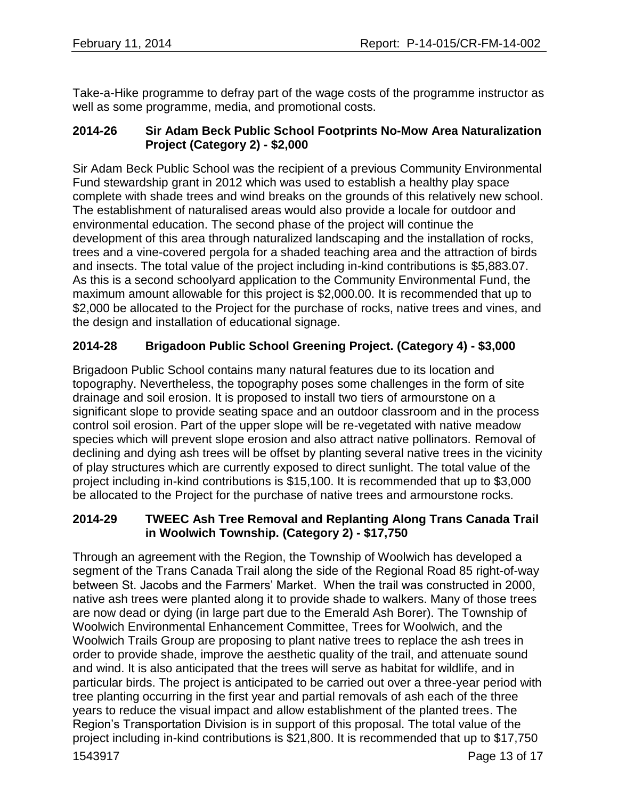Take-a-Hike programme to defray part of the wage costs of the programme instructor as well as some programme, media, and promotional costs.

## **2014-26 Sir Adam Beck Public School Footprints No-Mow Area Naturalization Project (Category 2) - \$2,000**

Sir Adam Beck Public School was the recipient of a previous Community Environmental Fund stewardship grant in 2012 which was used to establish a healthy play space complete with shade trees and wind breaks on the grounds of this relatively new school. The establishment of naturalised areas would also provide a locale for outdoor and environmental education. The second phase of the project will continue the development of this area through naturalized landscaping and the installation of rocks, trees and a vine-covered pergola for a shaded teaching area and the attraction of birds and insects. The total value of the project including in-kind contributions is \$5,883.07. As this is a second schoolyard application to the Community Environmental Fund, the maximum amount allowable for this project is \$2,000.00. It is recommended that up to \$2,000 be allocated to the Project for the purchase of rocks, native trees and vines, and the design and installation of educational signage.

# **2014-28 Brigadoon Public School Greening Project. (Category 4) - \$3,000**

Brigadoon Public School contains many natural features due to its location and topography. Nevertheless, the topography poses some challenges in the form of site drainage and soil erosion. It is proposed to install two tiers of armourstone on a significant slope to provide seating space and an outdoor classroom and in the process control soil erosion. Part of the upper slope will be re-vegetated with native meadow species which will prevent slope erosion and also attract native pollinators. Removal of declining and dying ash trees will be offset by planting several native trees in the vicinity of play structures which are currently exposed to direct sunlight. The total value of the project including in-kind contributions is \$15,100. It is recommended that up to \$3,000 be allocated to the Project for the purchase of native trees and armourstone rocks.

# **2014-29 TWEEC Ash Tree Removal and Replanting Along Trans Canada Trail in Woolwich Township. (Category 2) - \$17,750**

Through an agreement with the Region, the Township of Woolwich has developed a segment of the Trans Canada Trail along the side of the Regional Road 85 right-of-way between St. Jacobs and the Farmers' Market. When the trail was constructed in 2000, native ash trees were planted along it to provide shade to walkers. Many of those trees are now dead or dying (in large part due to the Emerald Ash Borer). The Township of Woolwich Environmental Enhancement Committee, Trees for Woolwich, and the Woolwich Trails Group are proposing to plant native trees to replace the ash trees in order to provide shade, improve the aesthetic quality of the trail, and attenuate sound and wind. It is also anticipated that the trees will serve as habitat for wildlife, and in particular birds. The project is anticipated to be carried out over a three-year period with tree planting occurring in the first year and partial removals of ash each of the three years to reduce the visual impact and allow establishment of the planted trees. The Region's Transportation Division is in support of this proposal. The total value of the project including in-kind contributions is \$21,800. It is recommended that up to \$17,750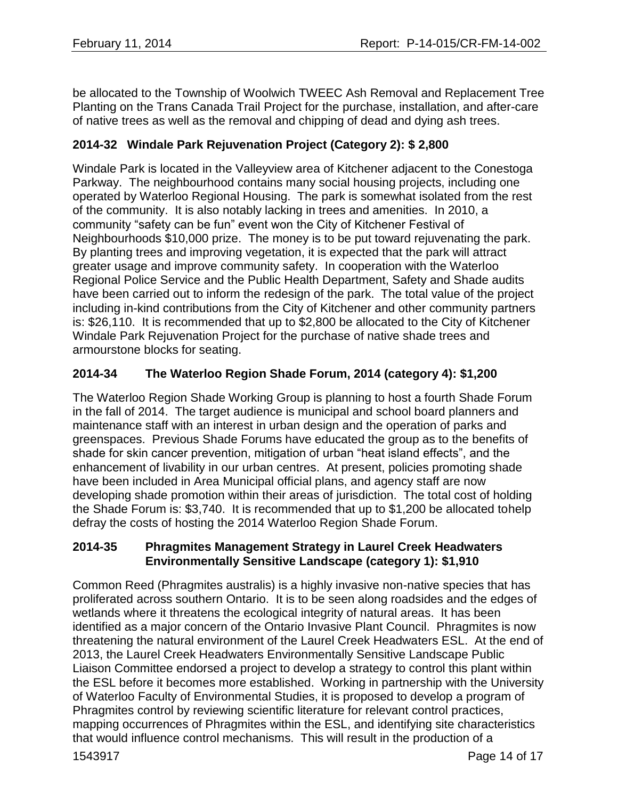be allocated to the Township of Woolwich TWEEC Ash Removal and Replacement Tree Planting on the Trans Canada Trail Project for the purchase, installation, and after-care of native trees as well as the removal and chipping of dead and dying ash trees.

# **2014-32 Windale Park Rejuvenation Project (Category 2): \$ 2,800**

Windale Park is located in the Valleyview area of Kitchener adjacent to the Conestoga Parkway. The neighbourhood contains many social housing projects, including one operated by Waterloo Regional Housing. The park is somewhat isolated from the rest of the community. It is also notably lacking in trees and amenities. In 2010, a community "safety can be fun" event won the City of Kitchener Festival of Neighbourhoods \$10,000 prize. The money is to be put toward rejuvenating the park. By planting trees and improving vegetation, it is expected that the park will attract greater usage and improve community safety. In cooperation with the Waterloo Regional Police Service and the Public Health Department, Safety and Shade audits have been carried out to inform the redesign of the park. The total value of the project including in-kind contributions from the City of Kitchener and other community partners is: \$26,110. It is recommended that up to \$2,800 be allocated to the City of Kitchener Windale Park Rejuvenation Project for the purchase of native shade trees and armourstone blocks for seating.

# **2014-34 The Waterloo Region Shade Forum, 2014 (category 4): \$1,200**

The Waterloo Region Shade Working Group is planning to host a fourth Shade Forum in the fall of 2014. The target audience is municipal and school board planners and maintenance staff with an interest in urban design and the operation of parks and greenspaces. Previous Shade Forums have educated the group as to the benefits of shade for skin cancer prevention, mitigation of urban "heat island effects", and the enhancement of livability in our urban centres. At present, policies promoting shade have been included in Area Municipal official plans, and agency staff are now developing shade promotion within their areas of jurisdiction. The total cost of holding the Shade Forum is: \$3,740. It is recommended that up to \$1,200 be allocated tohelp defray the costs of hosting the 2014 Waterloo Region Shade Forum.

### **2014-35 Phragmites Management Strategy in Laurel Creek Headwaters Environmentally Sensitive Landscape (category 1): \$1,910**

Common Reed (Phragmites australis) is a highly invasive non-native species that has proliferated across southern Ontario. It is to be seen along roadsides and the edges of wetlands where it threatens the ecological integrity of natural areas. It has been identified as a major concern of the Ontario Invasive Plant Council. Phragmites is now threatening the natural environment of the Laurel Creek Headwaters ESL. At the end of 2013, the Laurel Creek Headwaters Environmentally Sensitive Landscape Public Liaison Committee endorsed a project to develop a strategy to control this plant within the ESL before it becomes more established. Working in partnership with the University of Waterloo Faculty of Environmental Studies, it is proposed to develop a program of Phragmites control by reviewing scientific literature for relevant control practices, mapping occurrences of Phragmites within the ESL, and identifying site characteristics that would influence control mechanisms. This will result in the production of a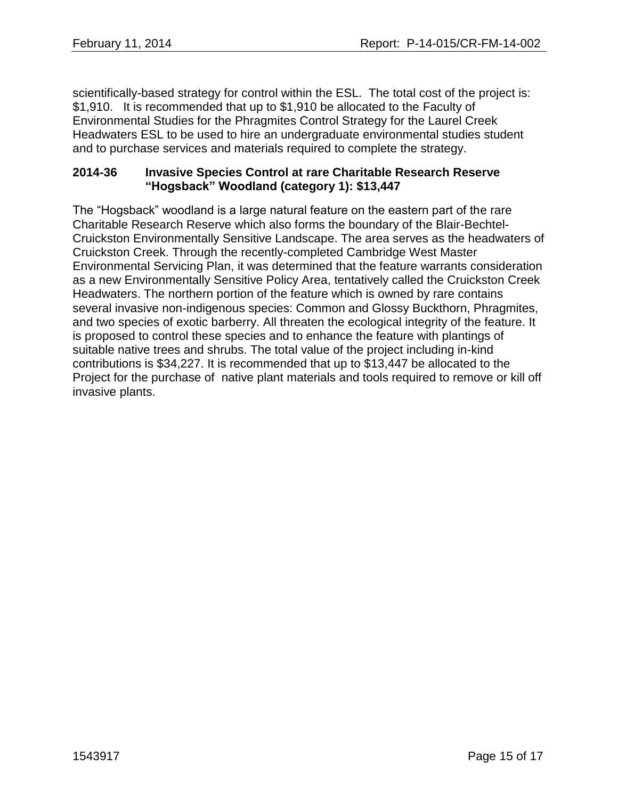scientifically-based strategy for control within the ESL. The total cost of the project is: \$1,910. It is recommended that up to \$1,910 be allocated to the Faculty of Environmental Studies for the Phragmites Control Strategy for the Laurel Creek Headwaters ESL to be used to hire an undergraduate environmental studies student and to purchase services and materials required to complete the strategy.

#### **2014-36 Invasive Species Control at rare Charitable Research Reserve "Hogsback" Woodland (category 1): \$13,447**

The "Hogsback" woodland is a large natural feature on the eastern part of the rare Charitable Research Reserve which also forms the boundary of the Blair-Bechtel-Cruickston Environmentally Sensitive Landscape. The area serves as the headwaters of Cruickston Creek. Through the recently-completed Cambridge West Master Environmental Servicing Plan, it was determined that the feature warrants consideration as a new Environmentally Sensitive Policy Area, tentatively called the Cruickston Creek Headwaters. The northern portion of the feature which is owned by rare contains several invasive non-indigenous species: Common and Glossy Buckthorn, Phragmites, and two species of exotic barberry. All threaten the ecological integrity of the feature. It is proposed to control these species and to enhance the feature with plantings of suitable native trees and shrubs. The total value of the project including in-kind contributions is \$34,227. It is recommended that up to \$13,447 be allocated to the Project for the purchase of native plant materials and tools required to remove or kill off invasive plants.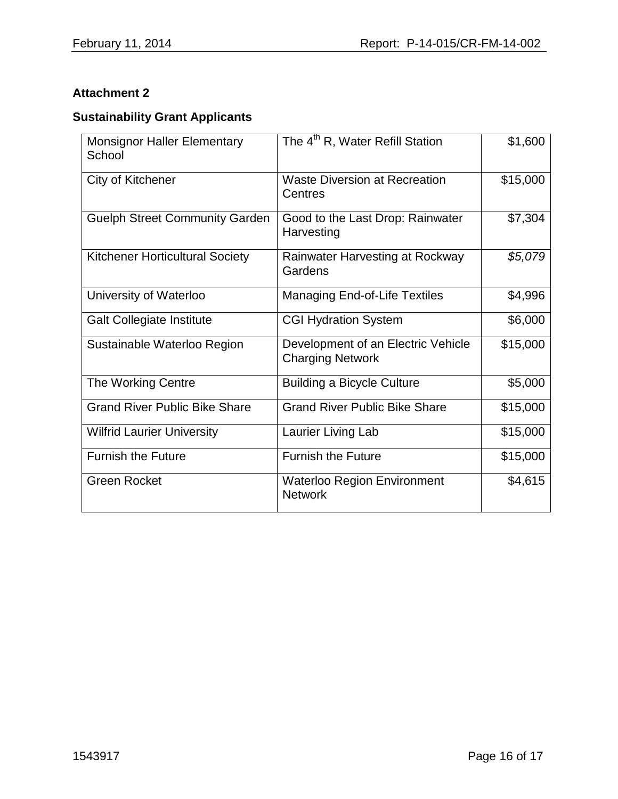# **Attachment 2**

# **Sustainability Grant Applicants**

| <b>Monsignor Haller Elementary</b><br>School | The 4 <sup>th</sup> R, Water Refill Station                   | \$1,600  |
|----------------------------------------------|---------------------------------------------------------------|----------|
| City of Kitchener                            | <b>Waste Diversion at Recreation</b><br>Centres               | \$15,000 |
| <b>Guelph Street Community Garden</b>        | Good to the Last Drop: Rainwater<br>Harvesting                | \$7,304  |
| <b>Kitchener Horticultural Society</b>       | Rainwater Harvesting at Rockway<br>Gardens                    | \$5,079  |
| University of Waterloo                       | <b>Managing End-of-Life Textiles</b>                          | \$4,996  |
| <b>Galt Collegiate Institute</b>             | <b>CGI Hydration System</b>                                   | \$6,000  |
| Sustainable Waterloo Region                  | Development of an Electric Vehicle<br><b>Charging Network</b> | \$15,000 |
| The Working Centre                           | <b>Building a Bicycle Culture</b>                             | \$5,000  |
| <b>Grand River Public Bike Share</b>         | <b>Grand River Public Bike Share</b>                          | \$15,000 |
| <b>Wilfrid Laurier University</b>            | Laurier Living Lab                                            | \$15,000 |
| <b>Furnish the Future</b>                    | <b>Furnish the Future</b>                                     | \$15,000 |
| <b>Green Rocket</b>                          | <b>Waterloo Region Environment</b><br><b>Network</b>          | \$4,615  |